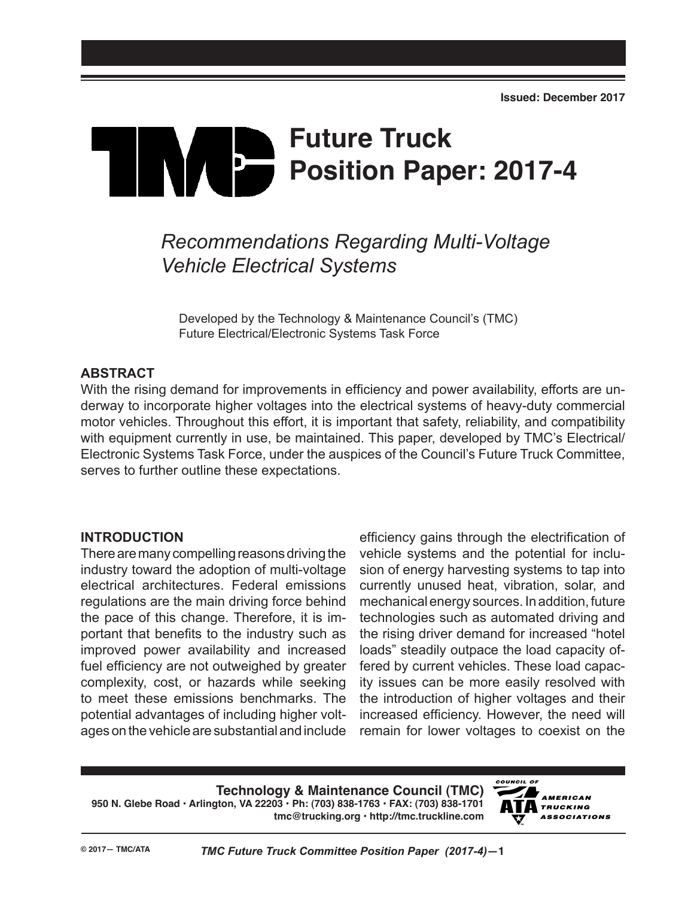# **Future Truck Position Paper: 2017-4**

## *Recommendations Regarding Multi-Voltage Vehicle Electrical Systems*

Developed by the Technology & Maintenance Council's (TMC) Future Electrical/Electronic Systems Task Force

#### **ABSTRACT**

With the rising demand for improvements in efficiency and power availability, efforts are underway to incorporate higher voltages into the electrical systems of heavy-duty commercial motor vehicles. Throughout this effort, it is important that safety, reliability, and compatibility with equipment currently in use, be maintained. This paper, developed by TMC's Electrical/ Electronic Systems Task Force, under the auspices of the Council's Future Truck Committee, serves to further outline these expectations.

#### **INTRODUCTION**

There are many compelling reasons driving the industry toward the adoption of multi-voltage electrical architectures. Federal emissions regulations are the main driving force behind the pace of this change. Therefore, it is important that benefits to the industry such as improved power availability and increased fuel efficiency are not outweighed by greater complexity, cost, or hazards while seeking to meet these emissions benchmarks. The potential advantages of including higher voltages on the vehicle are substantial and include

efficiency gains through the electrification of vehicle systems and the potential for inclusion of energy harvesting systems to tap into currently unused heat, vibration, solar, and mechanical energy sources. In addition, future technologies such as automated driving and the rising driver demand for increased "hotel loads" steadily outpace the load capacity offered by current vehicles. These load capacity issues can be more easily resolved with the introduction of higher voltages and their increased efficiency. However, the need will remain for lower voltages to coexist on the

**Technology & Maintenance Council (TMC) 950 N. Glebe Road • Arlington, VA 22203 • Ph: (703) 838-1763 • FAX: (703) 838-1701 tmc@trucking.org • http://tmc.truckline.com**

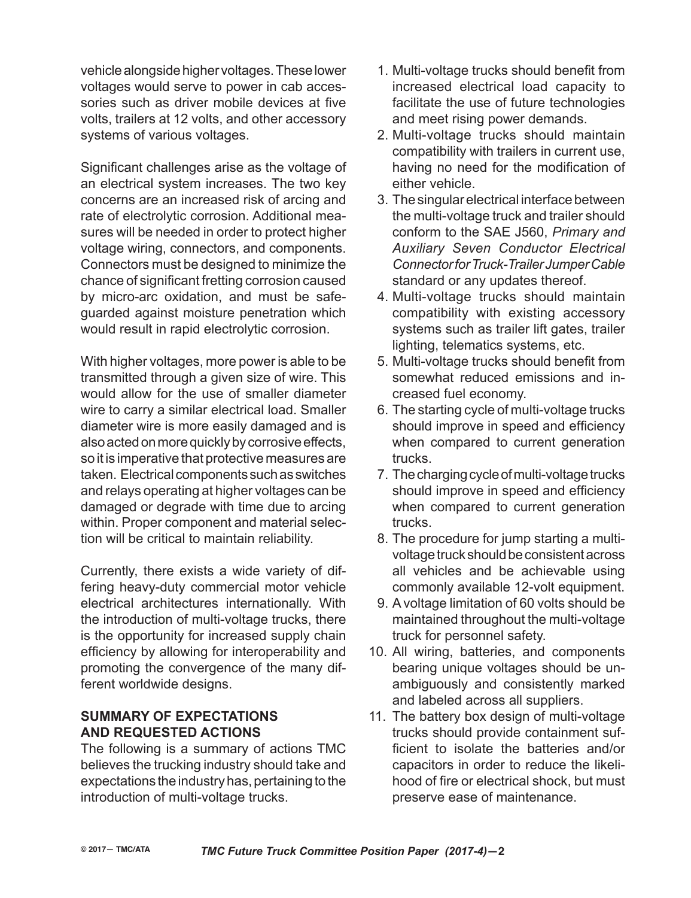vehicle alongside higher voltages. These lower voltages would serve to power in cab accessories such as driver mobile devices at five volts, trailers at 12 volts, and other accessory systems of various voltages.

Significant challenges arise as the voltage of an electrical system increases. The two key concerns are an increased risk of arcing and rate of electrolytic corrosion. Additional measures will be needed in order to protect higher voltage wiring, connectors, and components. Connectors must be designed to minimize the chance of significant fretting corrosion caused by micro-arc oxidation, and must be safeguarded against moisture penetration which would result in rapid electrolytic corrosion.

With higher voltages, more power is able to be transmitted through a given size of wire. This would allow for the use of smaller diameter wire to carry a similar electrical load. Smaller diameter wire is more easily damaged and is also acted on more quickly by corrosive effects, so it is imperative that protective measures are taken. Electrical components such as switches and relays operating at higher voltages can be damaged or degrade with time due to arcing within. Proper component and material selection will be critical to maintain reliability.

Currently, there exists a wide variety of differing heavy-duty commercial motor vehicle electrical architectures internationally. With the introduction of multi-voltage trucks, there is the opportunity for increased supply chain efficiency by allowing for interoperability and promoting the convergence of the many different worldwide designs.

### **Summary of Expectations and Requested Actions**

The following is a summary of actions TMC believes the trucking industry should take and expectations the industry has, pertaining to the introduction of multi-voltage trucks.

- 1. Multi-voltage trucks should benefit from increased electrical load capacity to facilitate the use of future technologies and meet rising power demands.
- 2. Multi-voltage trucks should maintain compatibility with trailers in current use, having no need for the modification of either vehicle.
- 3. The singular electrical interface between the multi-voltage truck and trailer should conform to the SAE J560, *Primary and Auxiliary Seven Conductor Electrical Connector for Truck-Trailer Jumper Cable* standard or any updates thereof.
- 4. Multi-voltage trucks should maintain compatibility with existing accessory systems such as trailer lift gates, trailer lighting, telematics systems, etc.
- 5. Multi-voltage trucks should benefit from somewhat reduced emissions and increased fuel economy.
- 6. The starting cycle of multi-voltage trucks should improve in speed and efficiency when compared to current generation trucks.
- 7. The charging cycle of multi-voltage trucks should improve in speed and efficiency when compared to current generation trucks.
- 8. The procedure for jump starting a multivoltage truck should be consistent across all vehicles and be achievable using commonly available 12-volt equipment.
- 9. A voltage limitation of 60 volts should be maintained throughout the multi-voltage truck for personnel safety.
- 10. All wiring, batteries, and components bearing unique voltages should be unambiguously and consistently marked and labeled across all suppliers.
- 11. The battery box design of multi-voltage trucks should provide containment sufficient to isolate the batteries and/or capacitors in order to reduce the likelihood of fire or electrical shock, but must preserve ease of maintenance.